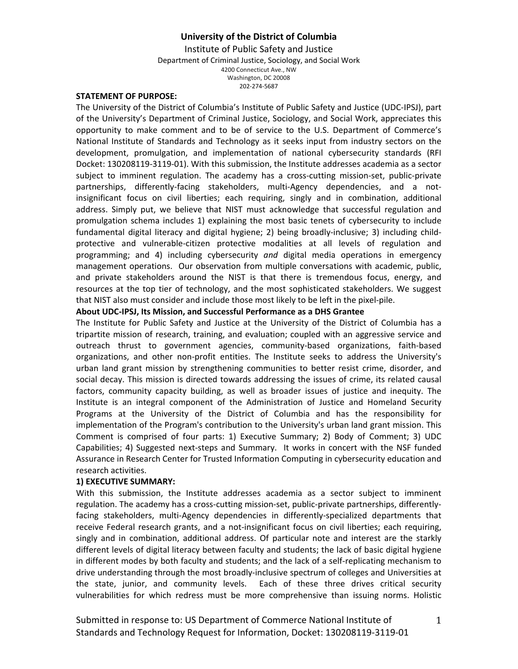Institute of Public Safety and Justice Department of Criminal Justice, Sociology, and Social Work 4200 Connecticut Ave., NW Washington, DC 20008 202-274-5687

#### **STATEMENT OF PURPOSE:**

The University of the District of Columbia's Institute of Public Safety and Justice (UDC-IPSJ), part of the University's Department of Criminal Justice, Sociology, and Social Work, appreciates this opportunity to make comment and to be of service to the U.S. Department of Commerce's National Institute of Standards and Technology as it seeks input from industry sectors on the development, promulgation, and implementation of national cybersecurity standards (RFI Docket: 130208119-3119-01). With this submission, the Institute addresses academia as a sector subject to imminent regulation. The academy has a cross-cutting mission-set, public-private partnerships, differently-facing stakeholders, multi-Agency dependencies, and a notinsignificant focus on civil liberties; each requiring, singly and in combination, additional address. Simply put, we believe that NIST must acknowledge that successful regulation and promulgation schema includes 1) explaining the most basic tenets of cybersecurity to include fundamental digital literacy and digital hygiene; 2) being broadly-inclusive; 3) including childprotective and vulnerable-citizen protective modalities at all levels of regulation and programming; and 4) including cybersecurity *and* digital media operations in emergency management operations. Our observation from multiple conversations with academic, public, and private stakeholders around the NIST is that there is tremendous focus, energy, and resources at the top tier of technology, and the most sophisticated stakeholders. We suggest that NIST also must consider and include those most likely to be left in the pixel-pile.

## **About UDC-IPSJ, Its Mission, and Successful Performance as a DHS Grantee**

The Institute for Public Safety and Justice at [the University of the District of Columbia](http://www.udc.edu/) has a tripartite mission of research, training, and evaluation; coupled with an aggressive service and outreach thrust to government agencies, community-based organizations, faith-based organizations, and other non-profit entities. The Institute seeks to address the University's urban land grant mission by strengthening communities to better resist crime, disorder, and social decay. This mission is directed towards addressing the issues of crime, its related causal factors, community capacity building, as well as broader issues of justice and inequity. The Institute is an integral component of the Administration of Justice and Homeland Security Programs at the University of the District of Columbia and has the responsibility for implementation of the Program's contribution to the University's urban land grant mission. This Comment is comprised of four parts: 1) Executive Summary; 2) Body of Comment; 3) UDC Capabilities; 4) Suggested next-steps and Summary. It works in concert with the NSF funded Assurance in Research Center for Trusted Information Computing in cybersecurity education and research activities.

## **1) EXECUTIVE SUMMARY:**

With this submission, the Institute addresses academia as a sector subject to imminent regulation. The academy has a cross-cutting mission-set, public-private partnerships, differentlyfacing stakeholders, multi-Agency dependencies in differently-specialized departments that receive Federal research grants, and a not-insignificant focus on civil liberties; each requiring, singly and in combination, additional address. Of particular note and interest are the starkly different levels of digital literacy between faculty and students; the lack of basic digital hygiene in different modes by both faculty and students; and the lack of a self-replicating mechanism to drive understanding through the most broadly-inclusive spectrum of colleges and Universities at the state, junior, and community levels. Each of these three drives critical security vulnerabilities for which redress must be more comprehensive than issuing norms. Holistic

Submitted in response to: US Department of Commerce National Institute of Standards and Technology Request for Information, Docket: 130208119-3119-01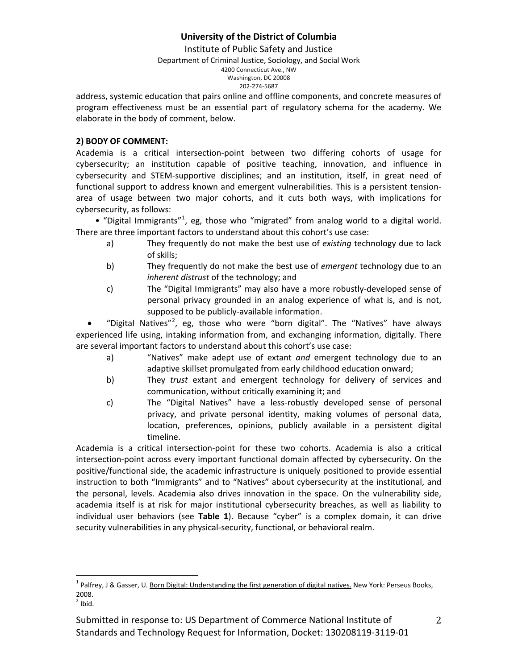Institute of Public Safety and Justice

Department of Criminal Justice, Sociology, and Social Work

4200 Connecticut Ave., NW

#### Washington, DC 20008 202-274-5687

address, systemic education that pairs online and offline components, and concrete measures of program effectiveness must be an essential part of regulatory schema for the academy. We elaborate in the body of comment, below.

## **2) BODY OF COMMENT:**

Academia is a critical intersection-point between two differing cohorts of usage for cybersecurity; an institution capable of positive teaching, innovation, and influence in cybersecurity and STEM-supportive disciplines; and an institution, itself, in great need of functional support to address known and emergent vulnerabilities. This is a persistent tensionarea of usage between two major cohorts, and it cuts both ways, with implications for cybersecurity, as follows:

 $\bullet$  "Digital Immigrants"<sup>[1](#page-1-0)</sup>, eg, those who "migrated" from analog world to a digital world. There are three important factors to understand about this cohort's use case:

- a) They frequently do not make the best use of *existing* technology due to lack of skills;
- b) They frequently do not make the best use of *emergent* technology due to an *inherent distrust* of the technology; and
- c) The "Digital Immigrants" may also have a more robustly-developed sense of personal privacy grounded in an analog experience of what is, and is not, supposed to be publicly-available information.

• "Digital Natives"<sup>[2](#page-1-1)</sup>, eg, those who were "born digital". The "Natives" have always experienced life using, intaking information from, and exchanging information, digitally. There are several important factors to understand about this cohort's use case:

- a) "Natives" make adept use of extant *and* emergent technology due to an adaptive skillset promulgated from early childhood education onward;
- b) They *trust* extant and emergent technology for delivery of services and communication, without critically examining it; and
- c) The "Digital Natives" have a less-robustly developed sense of personal privacy, and private personal identity, making volumes of personal data, location, preferences, opinions, publicly available in a persistent digital timeline.

Academia is a critical intersection-point for these two cohorts. Academia is also a critical intersection-point across every important functional domain affected by cybersecurity. On the positive/functional side, the academic infrastructure is uniquely positioned to provide essential instruction to both "Immigrants" and to "Natives" about cybersecurity at the institutional, and the personal, levels. Academia also drives innovation in the space. On the vulnerability side, academia itself is at risk for major institutional cybersecurity breaches, as well as liability to individual user behaviors (see **Table 1**). Because "cyber" is a complex domain, it can drive security vulnerabilities in any physical-security, functional, or behavioral realm.

<span id="page-1-0"></span><sup>&</sup>lt;sup>1</sup> Palfrey, J & Gasser, U. <u>Born Digital: Understanding the first generation of digital natives. New York: Perseus Books,</u> 2008.  $\overline{1}$ 

<span id="page-1-1"></span> $2$  Ibid.

Submitted in response to: US Department of Commerce National Institute of Standards and Technology Request for Information, Docket: 130208119-3119-01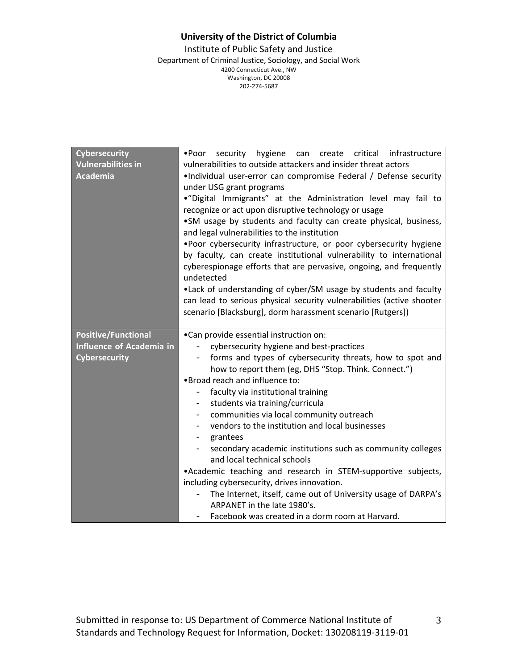Institute of Public Safety and Justice Department of Criminal Justice, Sociology, and Social Work 4200 Connecticut Ave., NW Washington, DC 20008 202-274-5687

| <b>Cybersecurity</b>      | •Poor security hygiene can<br>create critical infrastructure          |
|---------------------------|-----------------------------------------------------------------------|
| <b>Vulnerabilities in</b> | vulnerabilities to outside attackers and insider threat actors        |
| Academia                  | .Individual user-error can compromise Federal / Defense security      |
|                           | under USG grant programs                                              |
|                           | ."Digital Immigrants" at the Administration level may fail to         |
|                           | recognize or act upon disruptive technology or usage                  |
|                           | .SM usage by students and faculty can create physical, business,      |
|                           | and legal vulnerabilities to the institution                          |
|                           | .Poor cybersecurity infrastructure, or poor cybersecurity hygiene     |
|                           | by faculty, can create institutional vulnerability to international   |
|                           | cyberespionage efforts that are pervasive, ongoing, and frequently    |
|                           | undetected                                                            |
|                           | .Lack of understanding of cyber/SM usage by students and faculty      |
|                           | can lead to serious physical security vulnerabilities (active shooter |
|                           | scenario [Blacksburg], dorm harassment scenario [Rutgers])            |
|                           |                                                                       |
| Positive/Functional       | •Can provide essential instruction on:                                |
| Influence of Academia in  | cybersecurity hygiene and best-practices                              |
| <b>Cybersecurity</b>      | forms and types of cybersecurity threats, how to spot and<br>$-$      |
|                           | how to report them (eg, DHS "Stop. Think. Connect.")                  |
|                           | .Broad reach and influence to:                                        |
|                           | faculty via institutional training                                    |
|                           | students via training/curricula<br>$-$                                |
|                           | communities via local community outreach<br>$-$                       |
|                           | vendors to the institution and local businesses                       |
|                           | grantees<br>$-$                                                       |
|                           | secondary academic institutions such as community colleges            |
|                           | and local technical schools                                           |
|                           |                                                                       |
|                           | .Academic teaching and research in STEM-supportive subjects,          |
|                           | including cybersecurity, drives innovation.                           |
|                           | The Internet, itself, came out of University usage of DARPA's         |
|                           | ARPANET in the late 1980's.                                           |
|                           | Facebook was created in a dorm room at Harvard.                       |